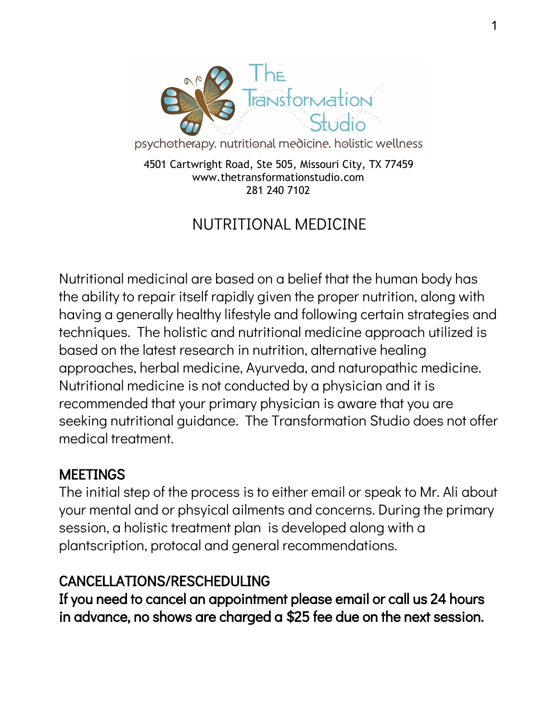

psychotherapy. nutritional medicine. holistic wellness

4501 Cartwright Road, Ste 505, Missouri City, TX 77459 www.thetransformationstudio.com 281 240 710[2](http://www.transformationcounselingcenter.com/)

# NUTRITIONAL MEDICINE

Nutritional medicinal are based on a belief that the human body has the ability to repair itself rapidly given the proper nutrition, along with having a generally healthy lifestyle and following certain strategies and techniques. The holistic and nutritional medicine approach utilized is based on the latest research in nutrition, alternative healing approaches, herbal medicine, Ayurveda, and naturopathic medicine. Nutritional medicine is not conducted by a physician and it is recommended that your primary physician is aware that you are seeking nutritional guidance. The Transformation Studio does not offer medical treatment.

#### MEETINGS

The initial step of the process is to either email or speak to Mr. Ali about your mental and or phsyical ailments and concerns. During the primary session, a holistic treatment plan is developed along with a plantscription, protocal and general recommendations.

### CANCELLATIONS/RESCHEDULING

If you need to cancel an appointment please email or call us 24 hours in advance, no shows are charged a \$25 fee due on the next session.